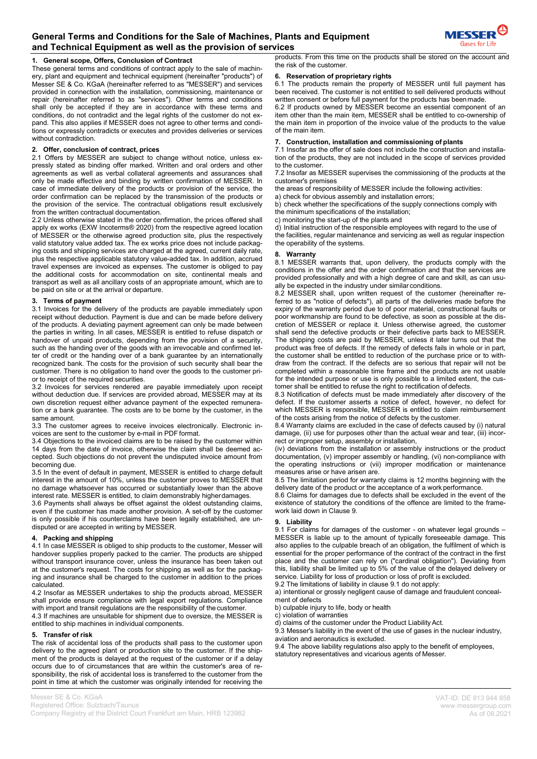## **1. General scope, Offers, Conclusion of Contract**

These general terms and conditions of contract apply to the sale of machinery, plant and equipment and technical equipment (hereinafter "products") of Messer SE & Co. KGaA (hereinafter referred to as "MESSER") and services provided in connection with the installation, commissioning, maintenance or repair (hereinafter referred to as "services"). Other terms and conditions shall only be accepted if they are in accordance with these terms and conditions, do not contradict and the legal rights of the customer do not expand. This also applies if MESSER does not agree to other terms and conditions or expressly contradicts or executes and provides deliveries or services without contradiction.

### **2. Offer, conclusion of contract, prices**

2.1 Offers by MESSER are subject to change without notice, unless expressly stated as binding offer marked. Written and oral orders and other agreements as well as verbal collateral agreements and assurances shall only be made effective and binding by written confirmation of MESSER. In case of immediate delivery of the products or provision of the service, the order confirmation can be replaced by the transmission of the products or the provision of the service. The contractual obligations result exclusively from the written contractual documentation.

2.2 Unless otherwise stated in the order confirmation, the prices offered shall apply ex works (EXW Incoterms® 2020) from the respective agreed location of MESSER or the otherwise agreed production site, plus the respectively valid statutory value added tax. The ex works price does not include packaging costs and shipping services are charged at the agreed, current daily rate, plus the respective applicable statutory value-added tax. In addition, accrued travel expenses are invoiced as expenses. The customer is obliged to pay the additional costs for accommodation on site, continental meals and transport as well as all ancillary costs of an appropriate amount, which are to be paid on site or at the arrival or departure.

#### **3. Terms of payment**

3.1 Invoices for the delivery of the products are payable immediately upon receipt without deduction. Payment is due and can be made before delivery of the products. A deviating payment agreement can only be made between the parties in writing. In all cases, MESSER is entitled to refuse dispatch or handover of unpaid products, depending from the provision of a security, such as the handing over of the goods with an irrevocable and confirmed letter of credit or the handing over of a bank guarantee by an internationally recognized bank. The costs for the provision of such security shall bear the customer. There is no obligation to hand over the goods to the customer prior to receipt of the required securities.

3.2 Invoices for services rendered are payable immediately upon receipt without deduction due. If services are provided abroad, MESSER may at its own discretion request either advance payment of the expected remuneration or a bank guarantee. The costs are to be borne by the customer, in the same amount.

3.3 The customer agrees to receive invoices electronically. Electronic invoices are sent to the customer by e-mail in PDF format.

3.4 Objections to the invoiced claims are to be raised by the customer within 14 days from the date of invoice, otherwise the claim shall be deemed accepted. Such objections do not prevent the undisputed invoice amount from becoming due.

3.5 In the event of default in payment, MESSER is entitled to charge default interest in the amount of 10%, unless the customer proves to MESSER that no damage whatsoever has occurred or substantially lower than the above interest rate. MESSER is entitled, to claim demonstrably higherdamages.

3.6 Payments shall always be offset against the oldest outstanding claims, even if the customer has made another provision. A set-off by the customer is only possible if his counterclaims have been legally established, are undisputed or are accepted in writing by MESSER.

### **4. Packing and shipping**

4.1 In case MESSER is obliged to ship products to the customer, Messer will handover supplies properly packed to the carrier. The products are shipped without transport insurance cover, unless the insurance has been taken out at the customer's request. The costs for shipping as well as for the packaging and insurance shall be charged to the customer in addition to the prices calculated.

4.2 Insofar as MESSER undertakes to ship the products abroad, MESSER shall provide ensure compliance with legal export regulations. Compliance with import and transit regulations are the responsibility of the customer.

4.3 If machines are unsuitable for shipment due to oversize, the MESSER is entitled to ship machines in individual components.

### **5. Transfer of risk**

The risk of accidental loss of the products shall pass to the customer upon delivery to the agreed plant or production site to the customer. If the shipment of the products is delayed at the request of the customer or if a delay occurs due to of circumstances that are within the customer's area of responsibility, the risk of accidental loss is transferred to the customer from the point in time at which the customer was originally intended for receiving the

products. From this time on the products shall be stored on the account and the risk of the customer.

#### **6. Reservation of proprietary rights**

6.1 The products remain the property of MESSER until full payment has been received. The customer is not entitled to sell delivered products without written consent or before full payment for the products has been made.

6.2 If products owned by MESSER become an essential component of an item other than the main item, MESSER shall be entitled to co-ownership of the main item in proportion of the invoice value of the products to the value of the main item.

#### **7. Construction, installation and commissioning of plants**

7.1 Insofar as the offer of sale does not include the construction and installation of the products, they are not included in the scope of services provided to the customer.

7.2 Insofar as MESSER supervises the commissioning of the products at the customer's premises

the areas of responsibility of MESSER include the following activities:

a) check for obvious assembly and installation errors;

b) check whether the specifications of the supply connections comply with the minimum specifications of the installation;

c) monitoring the start-up of the plants and

d) Initial instruction of the responsible employees with regard to the use of the facilities, regular maintenance and servicing as well as regular inspection the operability of the systems.

# **8. Warranty**

8.1 MESSER warrants that, upon delivery, the products comply with the conditions in the offer and the order confirmation and that the services are provided professionally and with a high degree of care and skill, as can usually be expected in the industry under similar conditions.

8.2 MESSER shall, upon written request of the customer (hereinafter referred to as "notice of defects"), all parts of the deliveries made before the expiry of the warranty period due to of poor material, constructional faults or poor workmanship are found to be defective, as soon as possible at the discretion of MESSER or replace it. Unless otherwise agreed, the customer shall send the defective products or their defective parts back to MESSER. The shipping costs are paid by MESSER, unless it later turns out that the product was free of defects. If the remedy of defects fails in whole or in part, the customer shall be entitled to reduction of the purchase price or to withdraw from the contract. If the defects are so serious that repair will not be completed within a reasonable time frame and the products are not usable for the intended purpose or use is only possible to a limited extent, the customer shall be entitled to refuse the right to rectification of defects.

8.3 Notification of defects must be made immediately after discovery of the defect. If the customer asserts a notice of defect, however, no defect for which MESSER is responsible, MESSER is entitled to claim reimbursement of the costs arising from the notice of defects by the customer.

8.4 Warranty claims are excluded in the case of defects caused by (i) natural damage, (ii) use for purposes other than the actual wear and tear, (iii) incorrect or improper setup, assembly or installation,

(iv) deviations from the installation or assembly instructions or the product documentation, (v) improper assembly or handling, (vi) non-compliance with the operating instructions or (vii) improper modification or maintenance measures arise or have arisen are.

8.5 The limitation period for warranty claims is 12 months beginning with the delivery date of the product or the acceptance of a work performance.

8.6 Claims for damages due to defects shall be excluded in the event of the existence of statutory the conditions of the offence are limited to the framework laid down in Clause 9.

# **9. Liability**

9.1 For claims for damages of the customer - on whatever legal grounds – MESSER is liable up to the amount of typically foreseeable damage. This also applies to the culpable breach of an obligation, the fulfilment of which is essential for the proper performance of the contract of the contract in the first place and the customer can rely on ("cardinal obligation"). Deviating from this, liability shall be limited up to 5% of the value of the delayed delivery or service. Liability for loss of production or loss of profit is excluded.

9.2 The limitations of liability in clause 9.1 do not apply:

a) intentional or grossly negligent cause of damage and fraudulent concealment of defects

b) culpable injury to life, body or health

c) violation of warranties d) claims of the customer under the Product Liability Act.

9.3 Messer's liability in the event of the use of gases in the nuclear industry, aviation and aeronautics is excluded.

9.4 The above liability regulations also apply to the benefit of employees, statutory representatives and vicarious agents of Messer.